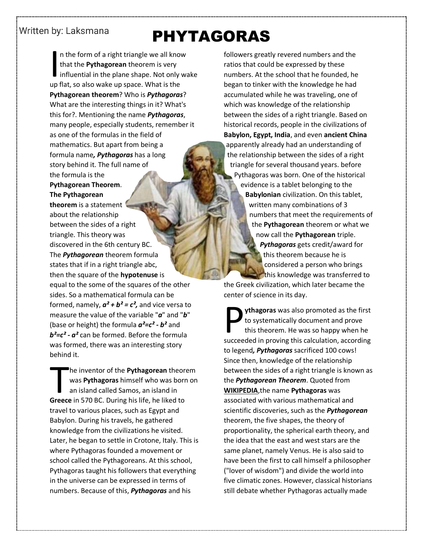## Written by: Laksmana

## PHYTAGORAS

n the form of a right triangle we all know that the **Pythagorean** theorem is very influential in the plane shape. Not only wake I in the form of a right triangle we all know that the **Pythagorean** theorem is very influential in the plane shape. Not only up flat, so also wake up space. What is the **Pythagorean theorem**? Who is *Pythagoras*? What are the interesting things in it? What's this for?. Mentioning the name *Pythagoras*, many people, especially students, remember it as one of the formulas in the field of mathematics. But apart from being a formula name*, Pythagoras* has a long story behind it. The full name of the formula is the **Pythagorean Theorem**.

**The Pythagorean theorem** is a statement about the relationship between the sides of a right triangle. This theory was discovered in the 6th century BC. The *Pythagorean* theorem formula states that if in a right triangle abc, then the square of the **hypotenuse** is equal to the some of the squares of the other sides. So a mathematical formula can be formed, namely,  $a^2 + b^2 = c^2$ , and vice versa to measure the value of the variable "*a*" and "*b*" (base or height) the formula *a²=c² - b²* and *b²=c² - a²* can be formed. Before the formula was formed, there was an interesting story behind it.

he inventor of the **Pythagorean** theorem was **Pythagoras** himself who was born on an island called Samos, an island in The inventor of the **Pythagorean** theor<br>was **Pythagoras** himself who was borr<br>an island called Samos, an island in<br>Greece in 570 BC. During his life, he liked to travel to various places, such as Egypt and Babylon. During his travels, he gathered knowledge from the civilizations he visited. Later, he began to settle in Crotone, Italy. This is where Pythagoras founded a movement or school called the Pythagoreans. At this school, Pythagoras taught his followers that everything in the universe can be expressed in terms of numbers. Because of this, *Pythagoras* and his

followers greatly revered numbers and the ratios that could be expressed by these numbers. At the school that he founded, he began to tinker with the knowledge he had accumulated while he was traveling, one of which was knowledge of the relationship between the sides of a right triangle. Based on historical records, people in the civilizations of **Babylon, Egypt, India**, and even **ancient China** apparently already had an understanding of the relationship between the sides of a right triangle for several thousand years. before Pythagoras was born. One of the historical evidence is a tablet belonging to the **Babylonian** civilization. On this tablet, written many combinations of 3 numbers that meet the requirements of the **Pythagorean** theorem or what we now call the **Pythagorean** triple. *Pythagoras* gets credit/award for this theorem because he is considered a person who brings this knowledge was transferred to the Greek civilization, which later became the center of science in its day.

**ythagoras** was also promoted as the first to systematically document and prove this theorem. He was so happy when he **Succeeded in proving this calculation, according to systematically document and prove this theorem. He was so happy when he succeeded in proving this calculation, according** to legend*, Pythagoras* sacrificed 100 cows! Since then, knowledge of the relationship between the sides of a right triangle is known as the *Pythagorean Theorem*. Quoted from **WIKIPEDIA**,the name **Pythagoras** was associated with various mathematical and scientific discoveries, such as the *Pythagorean*  theorem, the five shapes, the theory of proportionality, the spherical earth theory, and the idea that the east and west stars are the same planet, namely Venus. He is also said to have been the first to call himself a philosopher ("lover of wisdom") and divide the world into five climatic zones. However, classical historians still debate whether Pythagoras actually made